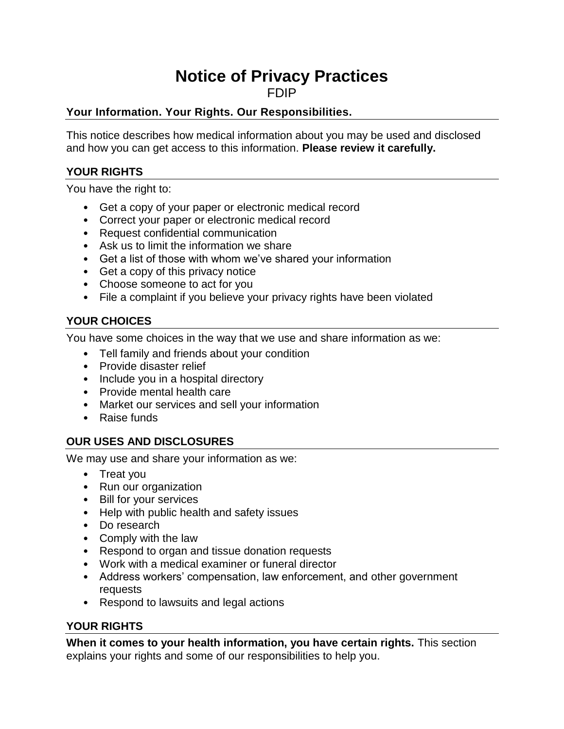# **Notice of Privacy Practices** FDIP

# **Your Information. Your Rights. Our Responsibilities.**

This notice describes how medical information about you may be used and disclosed and how you can get access to this information. **Please review it carefully.**

# **YOUR RIGHTS**

You have the right to:

- Get a copy of your paper or electronic medical record
- Correct your paper or electronic medical record
- Request confidential communication
- Ask us to limit the information we share
- Get a list of those with whom we've shared your information
- Get a copy of this privacy notice
- Choose someone to act for you
- File a complaint if you believe your privacy rights have been violated

# **YOUR CHOICES**

You have some choices in the way that we use and share information as we:

- Tell family and friends about your condition
- Provide disaster relief
- Include you in a hospital directory
- Provide mental health care
- Market our services and sell your information
- Raise funds

# **OUR USES AND DISCLOSURES**

We may use and share your information as we:

- Treat you
- Run our organization
- Bill for your services
- Help with public health and safety issues
- Do research
- Comply with the law
- Respond to organ and tissue donation requests
- Work with a medical examiner or funeral director
- Address workers' compensation, law enforcement, and other government requests
- Respond to lawsuits and legal actions

# **YOUR RIGHTS**

**When it comes to your health information, you have certain rights.** This section explains your rights and some of our responsibilities to help you.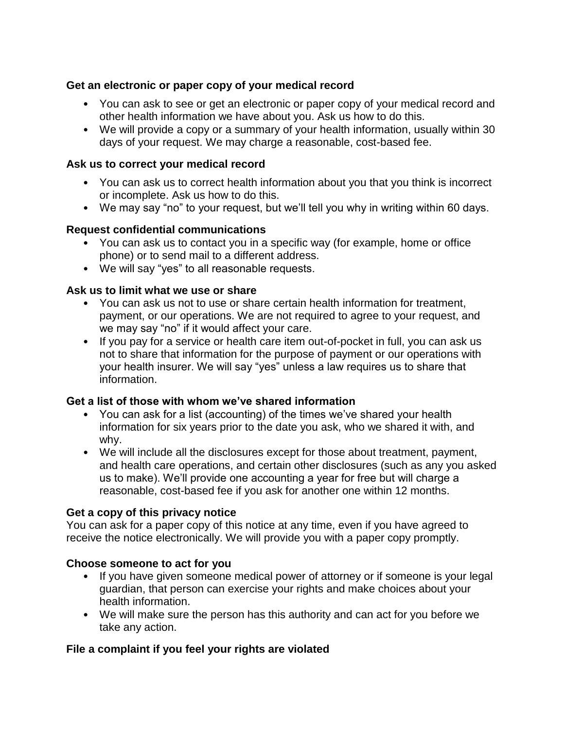# **Get an electronic or paper copy of your medical record**

- You can ask to see or get an electronic or paper copy of your medical record and other health information we have about you. Ask us how to do this.
- We will provide a copy or a summary of your health information, usually within 30 days of your request. We may charge a reasonable, cost-based fee.

#### **Ask us to correct your medical record**

- You can ask us to correct health information about you that you think is incorrect or incomplete. Ask us how to do this.
- We may say "no" to your request, but we'll tell you why in writing within 60 days.

#### **Request confidential communications**

- You can ask us to contact you in a specific way (for example, home or office phone) or to send mail to a different address.
- We will say "yes" to all reasonable requests.

#### **Ask us to limit what we use or share**

- You can ask us not to use or share certain health information for treatment, payment, or our operations. We are not required to agree to your request, and we may say "no" if it would affect your care.
- If you pay for a service or health care item out-of-pocket in full, you can ask us not to share that information for the purpose of payment or our operations with your health insurer. We will say "yes" unless a law requires us to share that information.

#### **Get a list of those with whom we've shared information**

- You can ask for a list (accounting) of the times we've shared your health information for six years prior to the date you ask, who we shared it with, and why.
- We will include all the disclosures except for those about treatment, payment, and health care operations, and certain other disclosures (such as any you asked us to make). We'll provide one accounting a year for free but will charge a reasonable, cost-based fee if you ask for another one within 12 months.

#### **Get a copy of this privacy notice**

You can ask for a paper copy of this notice at any time, even if you have agreed to receive the notice electronically. We will provide you with a paper copy promptly.

#### **Choose someone to act for you**

- If you have given someone medical power of attorney or if someone is your legal guardian, that person can exercise your rights and make choices about your health information.
- We will make sure the person has this authority and can act for you before we take any action.

# **File a complaint if you feel your rights are violated**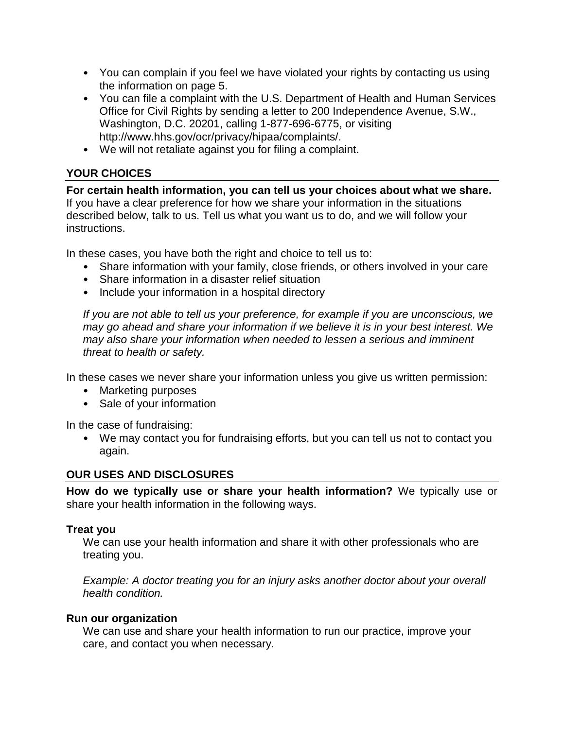- You can complain if you feel we have violated your rights by contacting us using the information on page 5.
- You can file a complaint with the U.S. Department of Health and Human Services Office for Civil Rights by sending a letter to 200 Independence Avenue, S.W., Washington, D.C. 20201, calling 1-877-696-6775, or visiting http://www.hhs.gov/ocr/privacy/hipaa/complaints/.
- We will not retaliate against you for filing a complaint.

# **YOUR CHOICES**

**For certain health information, you can tell us your choices about what we share.** If you have a clear preference for how we share your information in the situations described below, talk to us. Tell us what you want us to do, and we will follow your instructions.

In these cases, you have both the right and choice to tell us to:

- Share information with your family, close friends, or others involved in your care
- Share information in a disaster relief situation
- Include your information in a hospital directory

*If you are not able to tell us your preference, for example if you are unconscious, we may go ahead and share your information if we believe it is in your best interest. We may also share your information when needed to lessen a serious and imminent threat to health or safety.*

In these cases we never share your information unless you give us written permission:

- Marketing purposes
- Sale of your information

In the case of fundraising:

• We may contact you for fundraising efforts, but you can tell us not to contact you again.

# **OUR USES AND DISCLOSURES**

**How do we typically use or share your health information?** We typically use or share your health information in the following ways.

#### **Treat you**

We can use your health information and share it with other professionals who are treating you.

*Example: A doctor treating you for an injury asks another doctor about your overall health condition.*

#### **Run our organization**

We can use and share your health information to run our practice, improve your care, and contact you when necessary.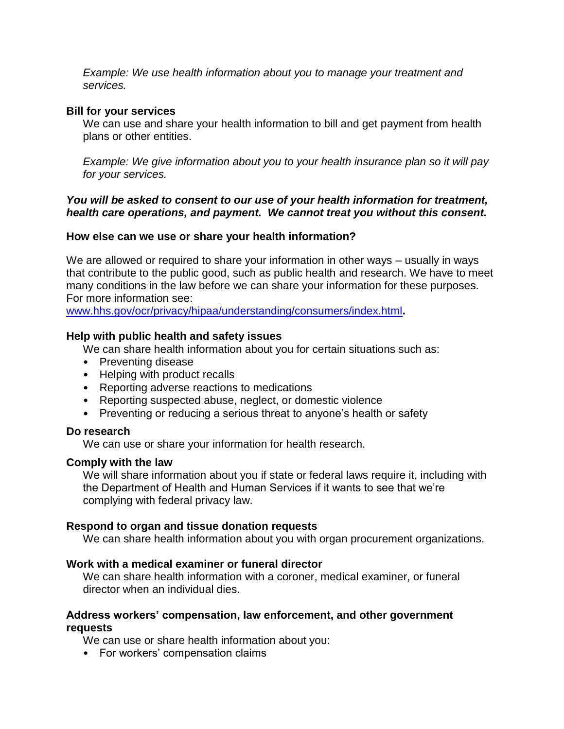*Example: We use health information about you to manage your treatment and services.* 

#### **Bill for your services**

We can use and share your health information to bill and get payment from health plans or other entities.

*Example: We give information about you to your health insurance plan so it will pay for your services.* 

#### *You will be asked to consent to our use of your health information for treatment, health care operations, and payment. We cannot treat you without this consent.*

#### **How else can we use or share your health information?**

We are allowed or required to share your information in other ways – usually in ways that contribute to the public good, such as public health and research. We have to meet many conditions in the law before we can share your information for these purposes. For more information see:

[www.hhs.gov/ocr/privacy/hipaa/understanding/consumers/index.html](http://www.hhs.gov/ocr/privacy/hipaa/understanding/consumers/index.html)**.**

#### **Help with public health and safety issues**

We can share health information about you for certain situations such as:

- Preventing disease
- Helping with product recalls
- Reporting adverse reactions to medications
- Reporting suspected abuse, neglect, or domestic violence
- Preventing or reducing a serious threat to anyone's health or safety

#### **Do research**

We can use or share your information for health research.

#### **Comply with the law**

We will share information about you if state or federal laws require it, including with the Department of Health and Human Services if it wants to see that we're complying with federal privacy law.

#### **Respond to organ and tissue donation requests**

We can share health information about you with organ procurement organizations.

#### **Work with a medical examiner or funeral director**

We can share health information with a coroner, medical examiner, or funeral director when an individual dies.

#### **Address workers' compensation, law enforcement, and other government requests**

We can use or share health information about you:

• For workers' compensation claims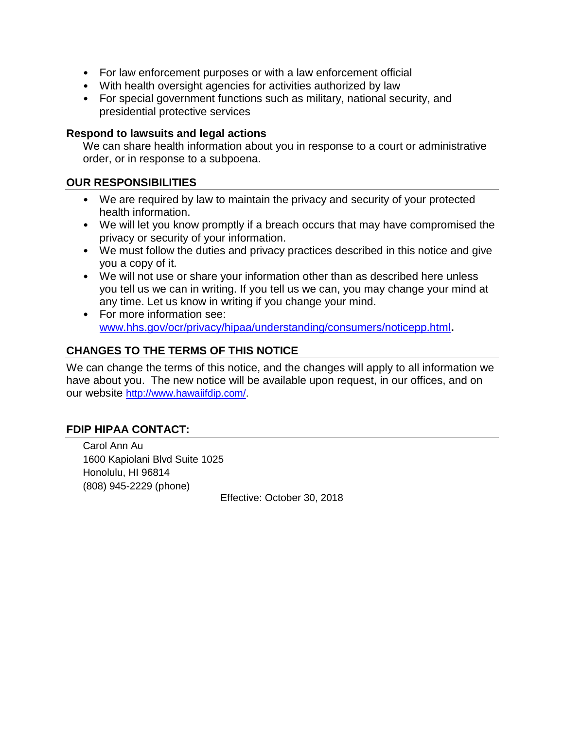- For law enforcement purposes or with a law enforcement official
- With health oversight agencies for activities authorized by law
- For special government functions such as military, national security, and presidential protective services

#### **Respond to lawsuits and legal actions**

We can share health information about you in response to a court or administrative order, or in response to a subpoena.

### **OUR RESPONSIBILITIES**

- We are required by law to maintain the privacy and security of your protected health information.
- We will let you know promptly if a breach occurs that may have compromised the privacy or security of your information.
- We must follow the duties and privacy practices described in this notice and give you a copy of it.
- We will not use or share your information other than as described here unless you tell us we can in writing. If you tell us we can, you may change your mind at any time. Let us know in writing if you change your mind.
- For more information see: [www.hhs.gov/ocr/privacy/hipaa/understanding/consumers/noticepp.html](http://www.hhs.gov/ocr/privacy/hipaa/understanding/consumers/noticepp.html)**.**

# **CHANGES TO THE TERMS OF THIS NOTICE**

We can change the terms of this notice, and the changes will apply to all information we have about you. The new notice will be available upon request, in our offices, and on our website [http://www.hawaiifdip.com/.](http://www.hawaiifdip.com/)

# **FDIP HIPAA CONTACT:**

Carol Ann Au 1600 Kapiolani Blvd Suite 1025 Honolulu, HI 96814 (808) 945-2229 (phone)

Effective: October 30, 2018